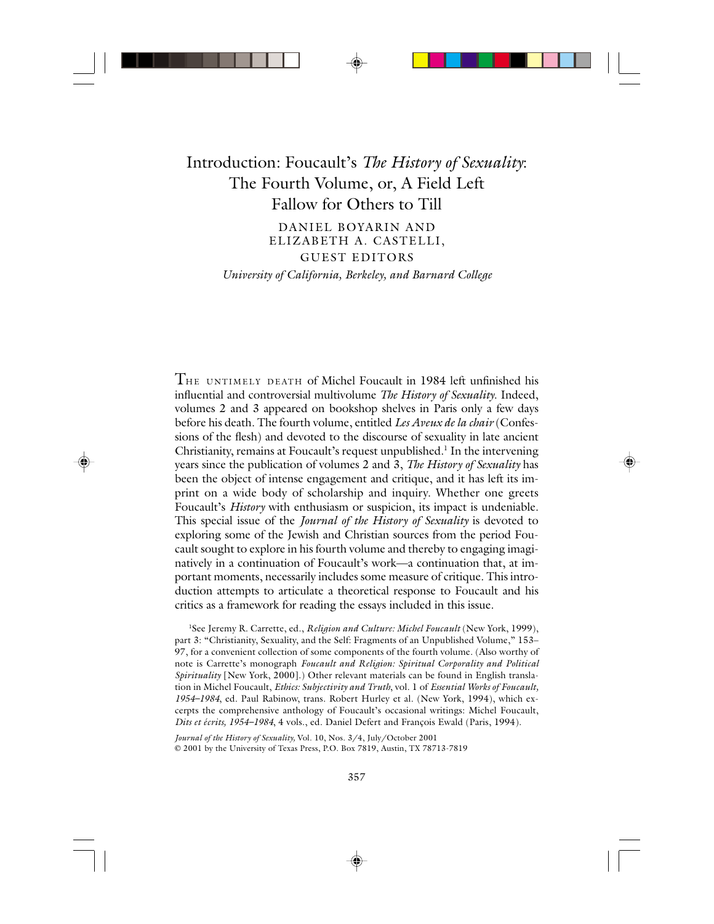## Introduction: Foucault's *The History of Sexuality*: The Fourth Volume, or, A Field Left Fallow for Others to Till

DANIEL BOYARIN AND ELIZABETH A. CASTELLI, GUEST EDITORS

*University of California, Berkeley, and Barnard College*

 $T_{HE}$  UNTIMELY DEATH of Michel Foucault in 1984 left unfinished his influential and controversial multivolume *The History of Sexuality*. Indeed, volumes 2 and 3 appeared on bookshop shelves in Paris only a few days before his death. The fourth volume, entitled *Les Aveux de la chair* (Confessions of the flesh) and devoted to the discourse of sexuality in late ancient Christianity, remains at Foucault's request unpublished.<sup>1</sup> In the intervening years since the publication of volumes 2 and 3, *The History of Sexuality* has been the object of intense engagement and critique, and it has left its imprint on a wide body of scholarship and inquiry. Whether one greets Foucault's *History* with enthusiasm or suspicion, its impact is undeniable. This special issue of the *Journal of the History of Sexuality* is devoted to exploring some of the Jewish and Christian sources from the period Foucault sought to explore in his fourth volume and thereby to engaging imaginatively in a continuation of Foucault's work—a continuation that, at important moments, necessarily includes some measure of critique. This introduction attempts to articulate a theoretical response to Foucault and his critics as a framework for reading the essays included in this issue.

<sup>1</sup>See Jeremy R. Carrette, ed., *Religion and Culture: Michel Foucault* (New York, 1999), part 3: "Christianity, Sexuality, and the Self: Fragments of an Unpublished Volume," 153– 97, for a convenient collection of some components of the fourth volume. (Also worthy of note is Carrette's monograph *Foucault and Religion: Spiritual Corporality and Political Spirituality* [New York, 2000].) Other relevant materials can be found in English translation in Michel Foucault, *Ethics: Subjectivity and Truth*, vol. 1 of *Essential Works of Foucault, 1954–1984*, ed. Paul Rabinow, trans. Robert Hurley et al. (New York, 1994), which excerpts the comprehensive anthology of Foucault's occasional writings: Michel Foucault, *Dits et écrits, 1954–1984*, 4 vols., ed. Daniel Defert and François Ewald (Paris, 1994).

*Journal of the History of Sexuality,* Vol. 10, Nos. 3/4, July/October 2001 © 2001 by the University of Texas Press, P.O. Box 7819, Austin, TX 78713-7819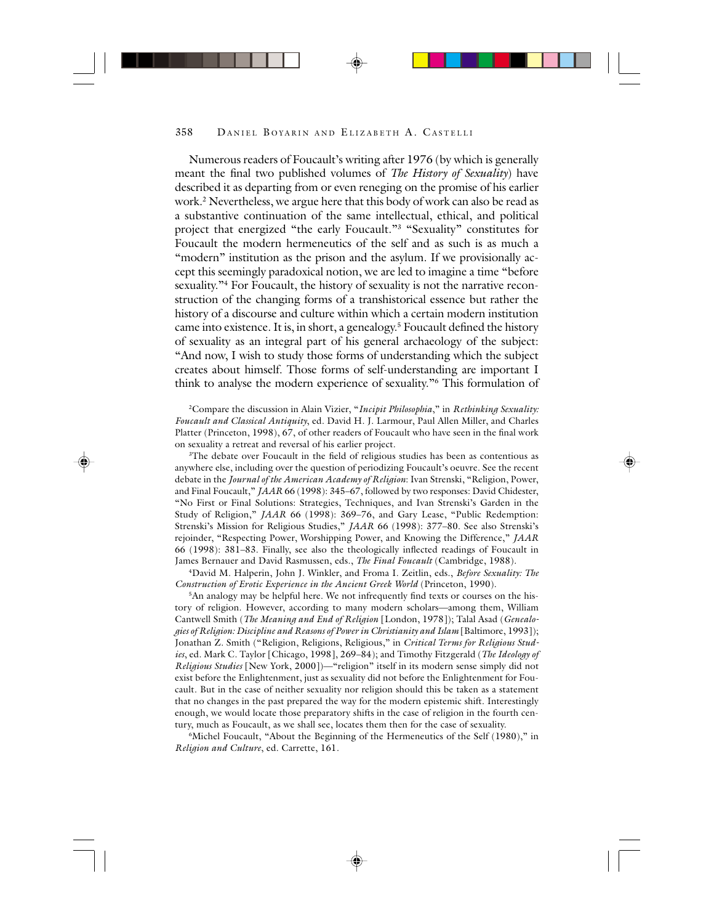Numerous readers of Foucault's writing after 1976 (by which is generally meant the final two published volumes of *The History of Sexuality*) have described it as departing from or even reneging on the promise of his earlier work.2 Nevertheless, we argue here that this body of work can also be read as a substantive continuation of the same intellectual, ethical, and political project that energized "the early Foucault."3 "Sexuality" constitutes for Foucault the modern hermeneutics of the self and as such is as much a "modern" institution as the prison and the asylum. If we provisionally accept this seemingly paradoxical notion, we are led to imagine a time "before sexuality."4 For Foucault, the history of sexuality is not the narrative reconstruction of the changing forms of a transhistorical essence but rather the history of a discourse and culture within which a certain modern institution came into existence. It is, in short, a genealogy.<sup>5</sup> Foucault defined the history of sexuality as an integral part of his general archaeology of the subject: "And now, I wish to study those forms of understanding which the subject creates about himself. Those forms of self-understanding are important I think to analyse the modern experience of sexuality."6 This formulation of

2Compare the discussion in Alain Vizier, "*Incipit Philosophia*," in *Rethinking Sexuality: Foucault and Classical Antiquity*, ed. David H. J. Larmour, Paul Allen Miller, and Charles Platter (Princeton, 1998), 67, of other readers of Foucault who have seen in the final work on sexuality a retreat and reversal of his earlier project.

<sup>3</sup>The debate over Foucault in the field of religious studies has been as contentious as anywhere else, including over the question of periodizing Foucault's oeuvre. See the recent debate in the *Journal of the American Academy of Religion*: Ivan Strenski, "Religion, Power, and Final Foucault," *JAAR* 66 (1998): 345–67, followed by two responses: David Chidester, "No First or Final Solutions: Strategies, Techniques, and Ivan Strenski's Garden in the Study of Religion," *JAAR* 66 (1998): 369–76, and Gary Lease, "Public Redemption: Strenski's Mission for Religious Studies," *JAAR* 66 (1998): 377–80. See also Strenski's rejoinder, "Respecting Power, Worshipping Power, and Knowing the Difference," *JAAR* 66 (1998): 381–83. Finally, see also the theologically inflected readings of Foucault in James Bernauer and David Rasmussen, eds., *The Final Foucault* (Cambridge, 1988).

4David M. Halperin, John J. Winkler, and Froma I. Zeitlin, eds., *Before Sexuality: The Construction of Erotic Experience in the Ancient Greek World* (Princeton, 1990).

5An analogy may be helpful here. We not infrequently find texts or courses on the history of religion. However, according to many modern scholars—among them, William Cantwell Smith (*The Meaning and End of Religion* [London, 1978]); Talal Asad (*Genealogies of Religion: Discipline and Reasons of Power in Christianity and Islam* [Baltimore, 1993]); Jonathan Z. Smith ("Religion, Religions, Religious," in *Critical Terms for Religious Studies*, ed. Mark C. Taylor [Chicago, 1998], 269–84); and Timothy Fitzgerald (*The Ideology of Religious Studies* [New York, 2000])—"religion" itself in its modern sense simply did not exist before the Enlightenment, just as sexuality did not before the Enlightenment for Foucault. But in the case of neither sexuality nor religion should this be taken as a statement that no changes in the past prepared the way for the modern epistemic shift. Interestingly enough, we would locate those preparatory shifts in the case of religion in the fourth century, much as Foucault, as we shall see, locates them then for the case of sexuality.

6Michel Foucault, "About the Beginning of the Hermeneutics of the Self (1980)," in *Religion and Culture*, ed. Carrette, 161.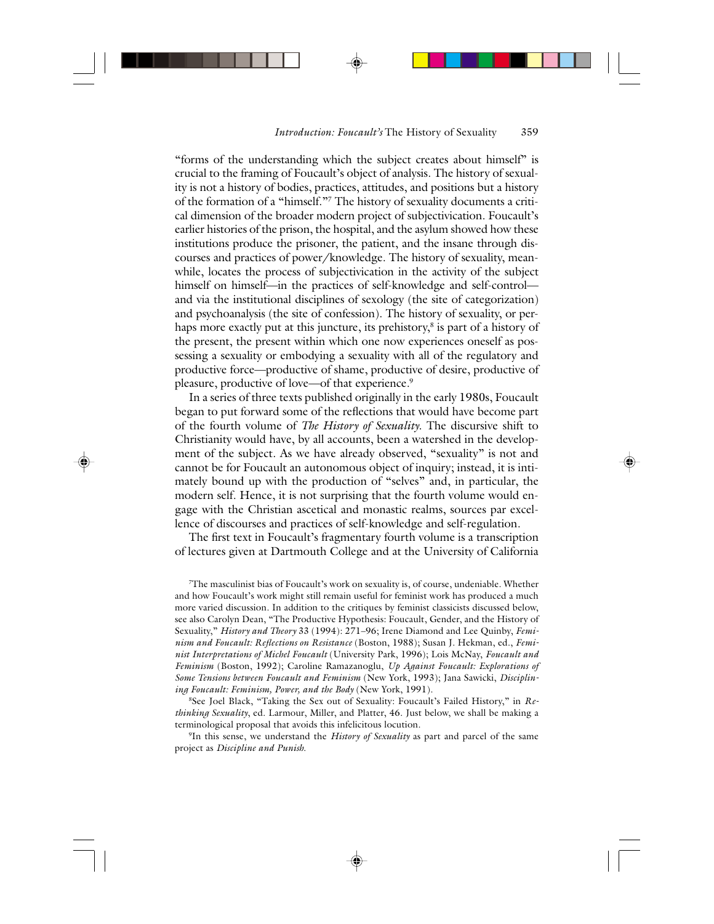"forms of the understanding which the subject creates about himself" is crucial to the framing of Foucault's object of analysis. The history of sexuality is not a history of bodies, practices, attitudes, and positions but a history of the formation of a "himself."7 The history of sexuality documents a critical dimension of the broader modern project of subjectivication. Foucault's earlier histories of the prison, the hospital, and the asylum showed how these institutions produce the prisoner, the patient, and the insane through discourses and practices of power/knowledge. The history of sexuality, meanwhile, locates the process of subjectivication in the activity of the subject himself on himself—in the practices of self-knowledge and self-control and via the institutional disciplines of sexology (the site of categorization) and psychoanalysis (the site of confession). The history of sexuality, or perhaps more exactly put at this juncture, its prehistory, $^8$  is part of a history of the present, the present within which one now experiences oneself as possessing a sexuality or embodying a sexuality with all of the regulatory and productive force—productive of shame, productive of desire, productive of pleasure, productive of love—of that experience.<sup>9</sup>

In a series of three texts published originally in the early 1980s, Foucault began to put forward some of the reflections that would have become part of the fourth volume of *The History of Sexuality*. The discursive shift to Christianity would have, by all accounts, been a watershed in the development of the subject. As we have already observed, "sexuality" is not and cannot be for Foucault an autonomous object of inquiry; instead, it is intimately bound up with the production of "selves" and, in particular, the modern self. Hence, it is not surprising that the fourth volume would engage with the Christian ascetical and monastic realms, sources par excellence of discourses and practices of self-knowledge and self-regulation.

The first text in Foucault's fragmentary fourth volume is a transcription of lectures given at Dartmouth College and at the University of California

7 The masculinist bias of Foucault's work on sexuality is, of course, undeniable. Whether and how Foucault's work might still remain useful for feminist work has produced a much more varied discussion. In addition to the critiques by feminist classicists discussed below, see also Carolyn Dean, "The Productive Hypothesis: Foucault, Gender, and the History of Sexuality," *History and Theory* 33 (1994): 271–96; Irene Diamond and Lee Quinby, *Feminism and Foucault: Reflections on Resistance* (Boston, 1988); Susan J. Hekman, ed., *Feminist Interpretations of Michel Foucault* (University Park, 1996); Lois McNay, *Foucault and Feminism* (Boston, 1992); Caroline Ramazanoglu, *Up Against Foucault: Explorations of Some Tensions between Foucault and Feminism* (New York, 1993); Jana Sawicki, *Disciplining Foucault: Feminism, Power, and the Body* (New York, 1991).

8See Joel Black, "Taking the Sex out of Sexuality: Foucault's Failed History," in *Rethinking Sexuality*, ed. Larmour, Miller, and Platter, 46. Just below, we shall be making a terminological proposal that avoids this infelicitous locution.

9In this sense, we understand the *History of Sexuality* as part and parcel of the same project as *Discipline and Punish*.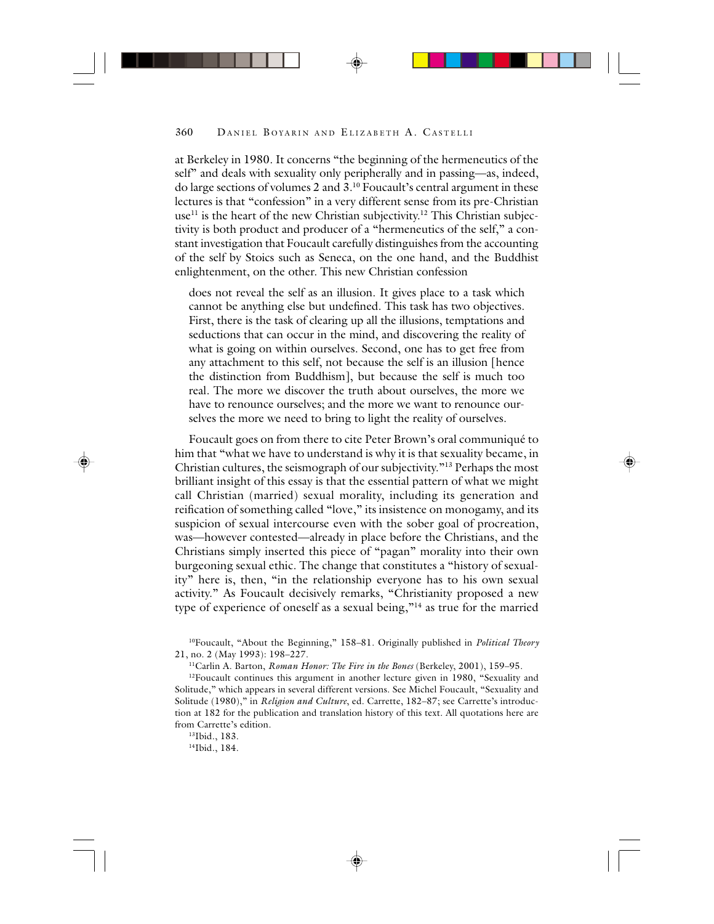at Berkeley in 1980. It concerns "the beginning of the hermeneutics of the self" and deals with sexuality only peripherally and in passing—as, indeed, do large sections of volumes 2 and 3.10 Foucault's central argument in these lectures is that "confession" in a very different sense from its pre-Christian use<sup>11</sup> is the heart of the new Christian subjectivity.<sup>12</sup> This Christian subjectivity is both product and producer of a "hermeneutics of the self," a constant investigation that Foucault carefully distinguishes from the accounting of the self by Stoics such as Seneca, on the one hand, and the Buddhist enlightenment, on the other. This new Christian confession

does not reveal the self as an illusion. It gives place to a task which cannot be anything else but undefined. This task has two objectives. First, there is the task of clearing up all the illusions, temptations and seductions that can occur in the mind, and discovering the reality of what is going on within ourselves. Second, one has to get free from any attachment to this self, not because the self is an illusion [hence the distinction from Buddhism], but because the self is much too real. The more we discover the truth about ourselves, the more we have to renounce ourselves; and the more we want to renounce ourselves the more we need to bring to light the reality of ourselves.

Foucault goes on from there to cite Peter Brown's oral communiqué to him that "what we have to understand is why it is that sexuality became, in Christian cultures, the seismograph of our subjectivity."13 Perhaps the most brilliant insight of this essay is that the essential pattern of what we might call Christian (married) sexual morality, including its generation and reification of something called "love," its insistence on monogamy, and its suspicion of sexual intercourse even with the sober goal of procreation, was—however contested—already in place before the Christians, and the Christians simply inserted this piece of "pagan" morality into their own burgeoning sexual ethic. The change that constitutes a "history of sexuality" here is, then, "in the relationship everyone has to his own sexual activity." As Foucault decisively remarks, "Christianity proposed a new type of experience of oneself as a sexual being,"<sup>14</sup> as true for the married

10Foucault, "About the Beginning," 158–81. Originally published in *Political Theory* 21, no. 2 (May 1993): 198–227.

11Carlin A. Barton, *Roman Honor: The Fire in the Bones* (Berkeley, 2001), 159–95.

<sup>12</sup>Foucault continues this argument in another lecture given in 1980, "Sexuality and Solitude," which appears in several different versions. See Michel Foucault, "Sexuality and Solitude (1980)," in *Religion and Culture*, ed. Carrette, 182–87; see Carrette's introduction at 182 for the publication and translation history of this text. All quotations here are from Carrette's edition.

13Ibid., 183. 14Ibid., 184.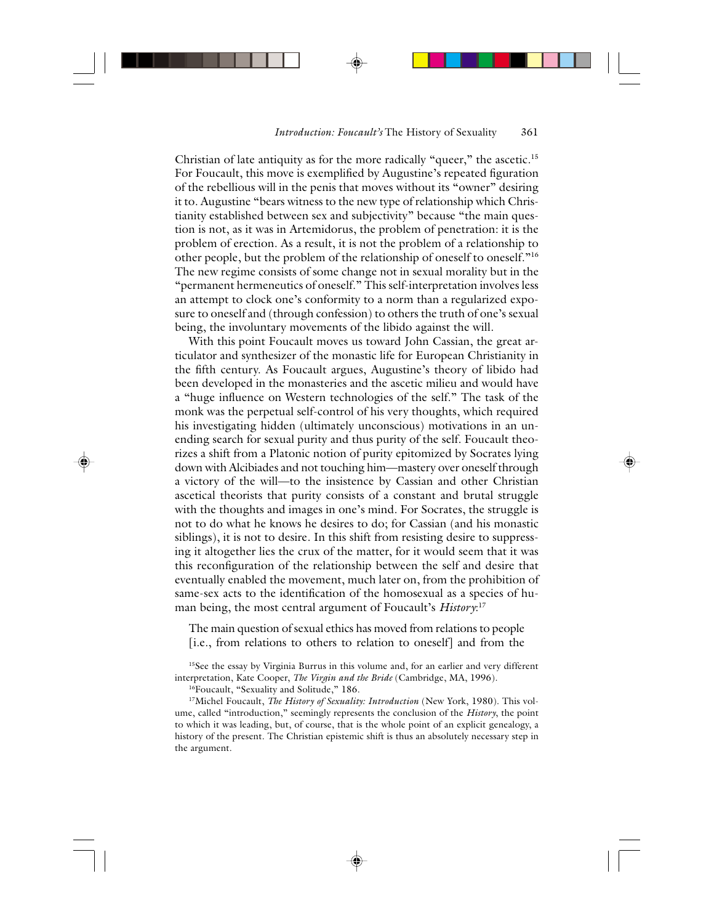Christian of late antiquity as for the more radically "queer," the ascetic.<sup>15</sup> For Foucault, this move is exemplified by Augustine's repeated figuration of the rebellious will in the penis that moves without its "owner" desiring it to. Augustine "bears witness to the new type of relationship which Christianity established between sex and subjectivity" because "the main question is not, as it was in Artemidorus, the problem of penetration: it is the problem of erection. As a result, it is not the problem of a relationship to other people, but the problem of the relationship of oneself to oneself."<sup>16</sup> The new regime consists of some change not in sexual morality but in the "permanent hermeneutics of oneself." This self-interpretation involves less an attempt to clock one's conformity to a norm than a regularized exposure to oneself and (through confession) to others the truth of one's sexual being, the involuntary movements of the libido against the will.

With this point Foucault moves us toward John Cassian, the great articulator and synthesizer of the monastic life for European Christianity in the fifth century. As Foucault argues, Augustine's theory of libido had been developed in the monasteries and the ascetic milieu and would have a "huge influence on Western technologies of the self." The task of the monk was the perpetual self-control of his very thoughts, which required his investigating hidden (ultimately unconscious) motivations in an unending search for sexual purity and thus purity of the self. Foucault theorizes a shift from a Platonic notion of purity epitomized by Socrates lying down with Alcibiades and not touching him—mastery over oneself through a victory of the will—to the insistence by Cassian and other Christian ascetical theorists that purity consists of a constant and brutal struggle with the thoughts and images in one's mind. For Socrates, the struggle is not to do what he knows he desires to do; for Cassian (and his monastic siblings), it is not to desire. In this shift from resisting desire to suppressing it altogether lies the crux of the matter, for it would seem that it was this reconfiguration of the relationship between the self and desire that eventually enabled the movement, much later on, from the prohibition of same-sex acts to the identification of the homosexual as a species of human being, the most central argument of Foucault's *History*: 17

The main question of sexual ethics has moved from relations to people [i.e., from relations to others to relation to oneself] and from the

<sup>15</sup>See the essay by Virginia Burrus in this volume and, for an earlier and very different interpretation, Kate Cooper, *The Virgin and the Bride* (Cambridge, MA, 1996).

<sup>16</sup>Foucault, "Sexuality and Solitude," 186.

17Michel Foucault, *The History of Sexuality: Introduction* (New York, 1980). This volume, called "introduction," seemingly represents the conclusion of the *History*, the point to which it was leading, but, of course, that is the whole point of an explicit genealogy, a history of the present. The Christian epistemic shift is thus an absolutely necessary step in the argument.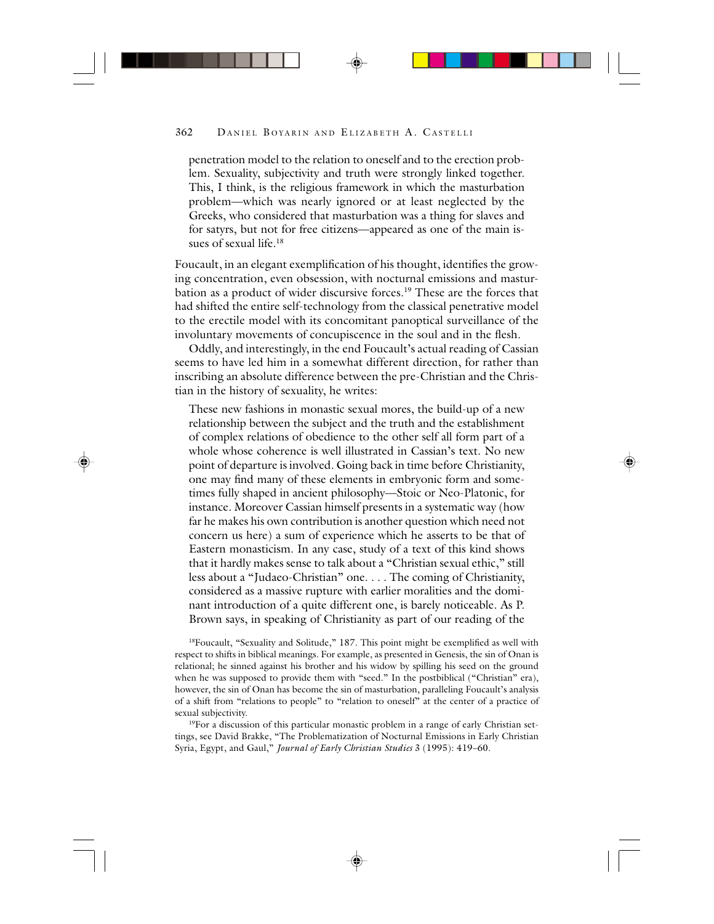penetration model to the relation to oneself and to the erection problem. Sexuality, subjectivity and truth were strongly linked together. This, I think, is the religious framework in which the masturbation problem—which was nearly ignored or at least neglected by the Greeks, who considered that masturbation was a thing for slaves and for satyrs, but not for free citizens—appeared as one of the main issues of sexual life.18

Foucault, in an elegant exemplification of his thought, identifies the growing concentration, even obsession, with nocturnal emissions and masturbation as a product of wider discursive forces.19 These are the forces that had shifted the entire self-technology from the classical penetrative model to the erectile model with its concomitant panoptical surveillance of the involuntary movements of concupiscence in the soul and in the flesh.

Oddly, and interestingly, in the end Foucault's actual reading of Cassian seems to have led him in a somewhat different direction, for rather than inscribing an absolute difference between the pre-Christian and the Christian in the history of sexuality, he writes:

These new fashions in monastic sexual mores, the build-up of a new relationship between the subject and the truth and the establishment of complex relations of obedience to the other self all form part of a whole whose coherence is well illustrated in Cassian's text. No new point of departure is involved. Going back in time before Christianity, one may find many of these elements in embryonic form and sometimes fully shaped in ancient philosophy—Stoic or Neo-Platonic, for instance. Moreover Cassian himself presents in a systematic way (how far he makes his own contribution is another question which need not concern us here) a sum of experience which he asserts to be that of Eastern monasticism. In any case, study of a text of this kind shows that it hardly makes sense to talk about a "Christian sexual ethic," still less about a "Judaeo-Christian" one. . . . The coming of Christianity, considered as a massive rupture with earlier moralities and the dominant introduction of a quite different one, is barely noticeable. As P. Brown says, in speaking of Christianity as part of our reading of the

<sup>18</sup>Foucault, "Sexuality and Solitude," 187. This point might be exemplified as well with respect to shifts in biblical meanings. For example, as presented in Genesis, the sin of Onan is relational; he sinned against his brother and his widow by spilling his seed on the ground when he was supposed to provide them with "seed." In the postbiblical ("Christian" era), however, the sin of Onan has become the sin of masturbation, paralleling Foucault's analysis of a shift from "relations to people" to "relation to oneself" at the center of a practice of sexual subjectivity.

<sup>19</sup>For a discussion of this particular monastic problem in a range of early Christian settings, see David Brakke, "The Problematization of Nocturnal Emissions in Early Christian Syria, Egypt, and Gaul," *Journal of Early Christian Studies* 3 (1995): 419–60.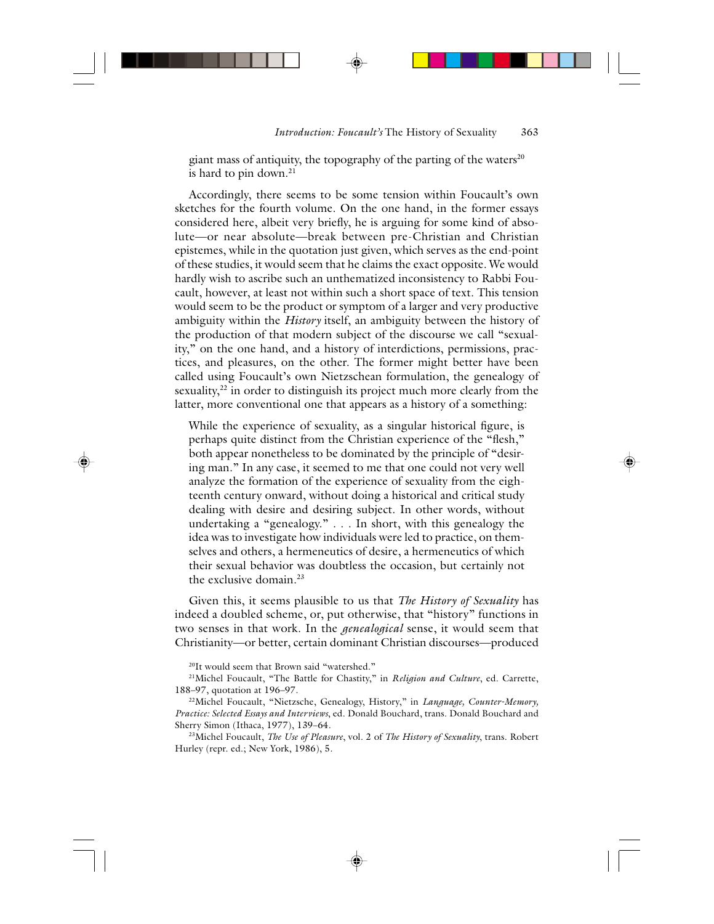giant mass of antiquity, the topography of the parting of the waters<sup>20</sup> is hard to pin down. $21$ 

Accordingly, there seems to be some tension within Foucault's own sketches for the fourth volume. On the one hand, in the former essays considered here, albeit very briefly, he is arguing for some kind of absolute—or near absolute—break between pre-Christian and Christian epistemes, while in the quotation just given, which serves as the end-point of these studies, it would seem that he claims the exact opposite. We would hardly wish to ascribe such an unthematized inconsistency to Rabbi Foucault, however, at least not within such a short space of text. This tension would seem to be the product or symptom of a larger and very productive ambiguity within the *History* itself, an ambiguity between the history of the production of that modern subject of the discourse we call "sexuality," on the one hand, and a history of interdictions, permissions, practices, and pleasures, on the other. The former might better have been called using Foucault's own Nietzschean formulation, the genealogy of sexuality,<sup>22</sup> in order to distinguish its project much more clearly from the latter, more conventional one that appears as a history of a something:

While the experience of sexuality, as a singular historical figure, is perhaps quite distinct from the Christian experience of the "flesh," both appear nonetheless to be dominated by the principle of "desiring man." In any case, it seemed to me that one could not very well analyze the formation of the experience of sexuality from the eighteenth century onward, without doing a historical and critical study dealing with desire and desiring subject. In other words, without undertaking a "genealogy." . . . In short, with this genealogy the idea was to investigate how individuals were led to practice, on themselves and others, a hermeneutics of desire, a hermeneutics of which their sexual behavior was doubtless the occasion, but certainly not the exclusive domain.23

Given this, it seems plausible to us that *The History of Sexuality* has indeed a doubled scheme, or, put otherwise, that "history" functions in two senses in that work. In the *genealogical* sense, it would seem that Christianity—or better, certain dominant Christian discourses—produced

20It would seem that Brown said "watershed."

22Michel Foucault, "Nietzsche, Genealogy, History," in *Language, Counter-Memory, Practice: Selected Essays and Interviews*, ed. Donald Bouchard, trans. Donald Bouchard and Sherry Simon (Ithaca, 1977), 139–64.

23Michel Foucault, *The Use of Pleasure*, vol. 2 of *The History of Sexuality*, trans. Robert Hurley (repr. ed.; New York, 1986), 5.

<sup>21</sup>Michel Foucault, "The Battle for Chastity," in *Religion and Culture*, ed. Carrette, 188–97, quotation at 196–97.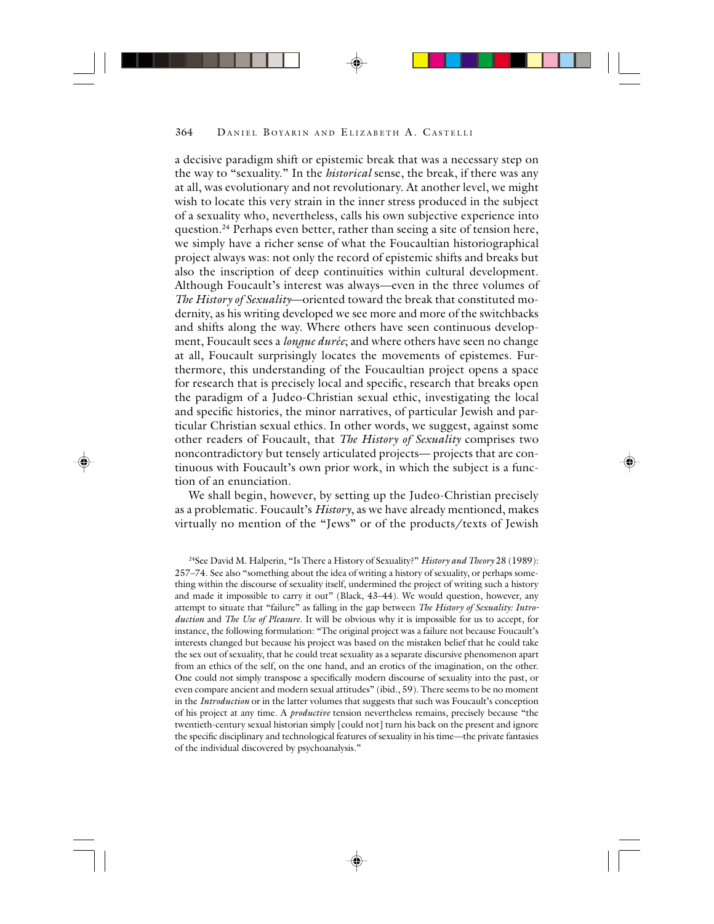a decisive paradigm shift or epistemic break that was a necessary step on the way to "sexuality." In the *historical* sense, the break, if there was any at all, was evolutionary and not revolutionary. At another level, we might wish to locate this very strain in the inner stress produced in the subject of a sexuality who, nevertheless, calls his own subjective experience into question.<sup>24</sup> Perhaps even better, rather than seeing a site of tension here, we simply have a richer sense of what the Foucaultian historiographical project always was: not only the record of epistemic shifts and breaks but also the inscription of deep continuities within cultural development. Although Foucault's interest was always—even in the three volumes of *The History of Sexuality*—oriented toward the break that constituted modernity, as his writing developed we see more and more of the switchbacks and shifts along the way. Where others have seen continuous development, Foucault sees a *longue durée*; and where others have seen no change at all, Foucault surprisingly locates the movements of epistemes. Furthermore, this understanding of the Foucaultian project opens a space for research that is precisely local and specific, research that breaks open the paradigm of a Judeo-Christian sexual ethic, investigating the local and specific histories, the minor narratives, of particular Jewish and particular Christian sexual ethics. In other words, we suggest, against some other readers of Foucault, that *The History of Sexuality* comprises two noncontradictory but tensely articulated projects— projects that are continuous with Foucault's own prior work, in which the subject is a function of an enunciation.

We shall begin, however, by setting up the Judeo-Christian precisely as a problematic. Foucault's *History*, as we have already mentioned, makes virtually no mention of the "Jews" or of the products/texts of Jewish

24See David M. Halperin, "Is There a History of Sexuality?" *History and Theory* 28 (1989): 257–74. See also "something about the idea of writing a history of sexuality, or perhaps something within the discourse of sexuality itself, undermined the project of writing such a history and made it impossible to carry it out" (Black, 43-44). We would question, however, any attempt to situate that "failure" as falling in the gap between *The History of Sexuality: Introduction* and *The Use of Pleasure*. It will be obvious why it is impossible for us to accept, for instance, the following formulation: "The original project was a failure not because Foucault's interests changed but because his project was based on the mistaken belief that he could take the sex out of sexuality, that he could treat sexuality as a separate discursive phenomenon apart from an ethics of the self, on the one hand, and an erotics of the imagination, on the other. One could not simply transpose a specifically modern discourse of sexuality into the past, or even compare ancient and modern sexual attitudes" (ibid., 59). There seems to be no moment in the *Introduction* or in the latter volumes that suggests that such was Foucault's conception of his project at any time. A *productive* tension nevertheless remains, precisely because "the twentieth-century sexual historian simply [could not] turn his back on the present and ignore the specific disciplinary and technological features of sexuality in his time—the private fantasies of the individual discovered by psychoanalysis."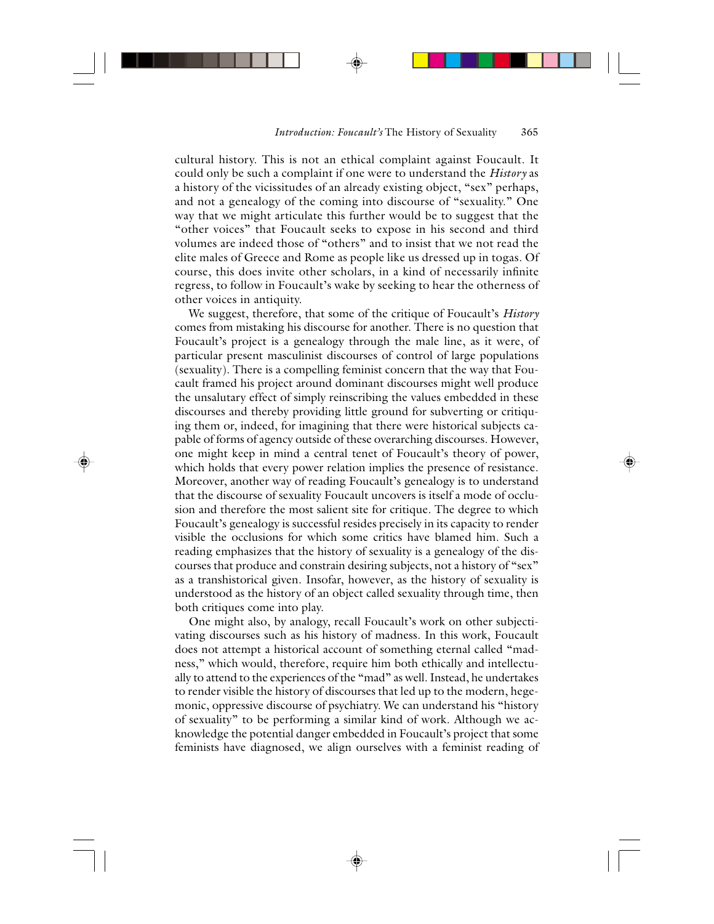cultural history. This is not an ethical complaint against Foucault. It could only be such a complaint if one were to understand the *History* as a history of the vicissitudes of an already existing object, "sex" perhaps, and not a genealogy of the coming into discourse of "sexuality." One way that we might articulate this further would be to suggest that the "other voices" that Foucault seeks to expose in his second and third volumes are indeed those of "others" and to insist that we not read the elite males of Greece and Rome as people like us dressed up in togas. Of course, this does invite other scholars, in a kind of necessarily infinite regress, to follow in Foucault's wake by seeking to hear the otherness of other voices in antiquity.

We suggest, therefore, that some of the critique of Foucault's *History* comes from mistaking his discourse for another. There is no question that Foucault's project is a genealogy through the male line, as it were, of particular present masculinist discourses of control of large populations (sexuality). There is a compelling feminist concern that the way that Foucault framed his project around dominant discourses might well produce the unsalutary effect of simply reinscribing the values embedded in these discourses and thereby providing little ground for subverting or critiquing them or, indeed, for imagining that there were historical subjects capable of forms of agency outside of these overarching discourses. However, one might keep in mind a central tenet of Foucault's theory of power, which holds that every power relation implies the presence of resistance. Moreover, another way of reading Foucault's genealogy is to understand that the discourse of sexuality Foucault uncovers is itself a mode of occlusion and therefore the most salient site for critique. The degree to which Foucault's genealogy is successful resides precisely in its capacity to render visible the occlusions for which some critics have blamed him. Such a reading emphasizes that the history of sexuality is a genealogy of the discourses that produce and constrain desiring subjects, not a history of "sex" as a transhistorical given. Insofar, however, as the history of sexuality is understood as the history of an object called sexuality through time, then both critiques come into play.

One might also, by analogy, recall Foucault's work on other subjectivating discourses such as his history of madness. In this work, Foucault does not attempt a historical account of something eternal called "madness," which would, therefore, require him both ethically and intellectually to attend to the experiences of the "mad" as well. Instead, he undertakes to render visible the history of discourses that led up to the modern, hegemonic, oppressive discourse of psychiatry. We can understand his "history of sexuality" to be performing a similar kind of work. Although we acknowledge the potential danger embedded in Foucault's project that some feminists have diagnosed, we align ourselves with a feminist reading of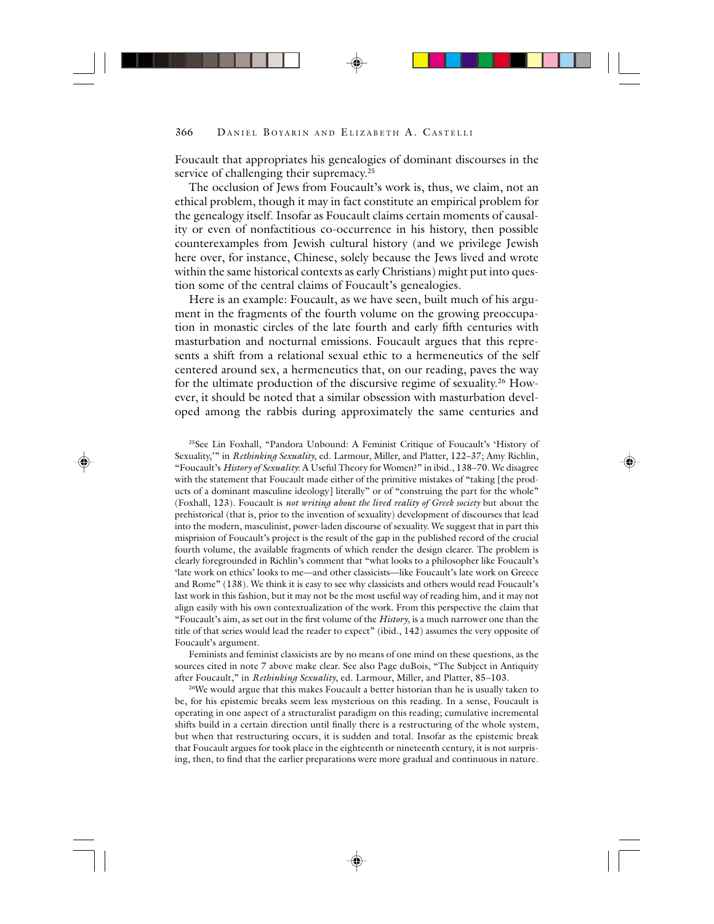Foucault that appropriates his genealogies of dominant discourses in the service of challenging their supremacy.<sup>25</sup>

The occlusion of Jews from Foucault's work is, thus, we claim, not an ethical problem, though it may in fact constitute an empirical problem for the genealogy itself. Insofar as Foucault claims certain moments of causality or even of nonfactitious co-occurrence in his history, then possible counterexamples from Jewish cultural history (and we privilege Jewish here over, for instance, Chinese, solely because the Jews lived and wrote within the same historical contexts as early Christians) might put into question some of the central claims of Foucault's genealogies.

Here is an example: Foucault, as we have seen, built much of his argument in the fragments of the fourth volume on the growing preoccupation in monastic circles of the late fourth and early fifth centuries with masturbation and nocturnal emissions. Foucault argues that this represents a shift from a relational sexual ethic to a hermeneutics of the self centered around sex, a hermeneutics that, on our reading, paves the way for the ultimate production of the discursive regime of sexuality.<sup>26</sup> However, it should be noted that a similar obsession with masturbation developed among the rabbis during approximately the same centuries and

25See Lin Foxhall, "Pandora Unbound: A Feminist Critique of Foucault's 'History of Sexuality,'" in *Rethinking Sexuality*, ed. Larmour, Miller, and Platter, 122–37; Amy Richlin, "Foucault's *History of Sexuality*: A Useful Theory for Women?" in ibid., 138–70. We disagree with the statement that Foucault made either of the primitive mistakes of "taking [the products of a dominant masculine ideology] literally" or of "construing the part for the whole" (Foxhall, 123). Foucault is *not writing about the lived reality of Greek society* but about the prehistorical (that is, prior to the invention of sexuality) development of discourses that lead into the modern, masculinist, power-laden discourse of sexuality. We suggest that in part this misprision of Foucault's project is the result of the gap in the published record of the crucial fourth volume, the available fragments of which render the design clearer. The problem is clearly foregrounded in Richlin's comment that "what looks to a philosopher like Foucault's 'late work on ethics' looks to me—and other classicists—like Foucault's late work on Greece and Rome" (138). We think it is easy to see why classicists and others would read Foucault's last work in this fashion, but it may not be the most useful way of reading him, and it may not align easily with his own contextualization of the work. From this perspective the claim that "Foucault's aim, as set out in the first volume of the *History*, is a much narrower one than the title of that series would lead the reader to expect" (ibid., 142) assumes the very opposite of Foucault's argument.

Feminists and feminist classicists are by no means of one mind on these questions, as the sources cited in note 7 above make clear. See also Page duBois, "The Subject in Antiquity after Foucault," in *Rethinking Sexuality*, ed. Larmour, Miller, and Platter, 85–103.

<sup>26</sup>We would argue that this makes Foucault a better historian than he is usually taken to be, for his epistemic breaks seem less mysterious on this reading. In a sense, Foucault is operating in one aspect of a structuralist paradigm on this reading; cumulative incremental shifts build in a certain direction until finally there is a restructuring of the whole system, but when that restructuring occurs, it is sudden and total. Insofar as the epistemic break that Foucault argues for took place in the eighteenth or nineteenth century, it is not surprising, then, to find that the earlier preparations were more gradual and continuous in nature.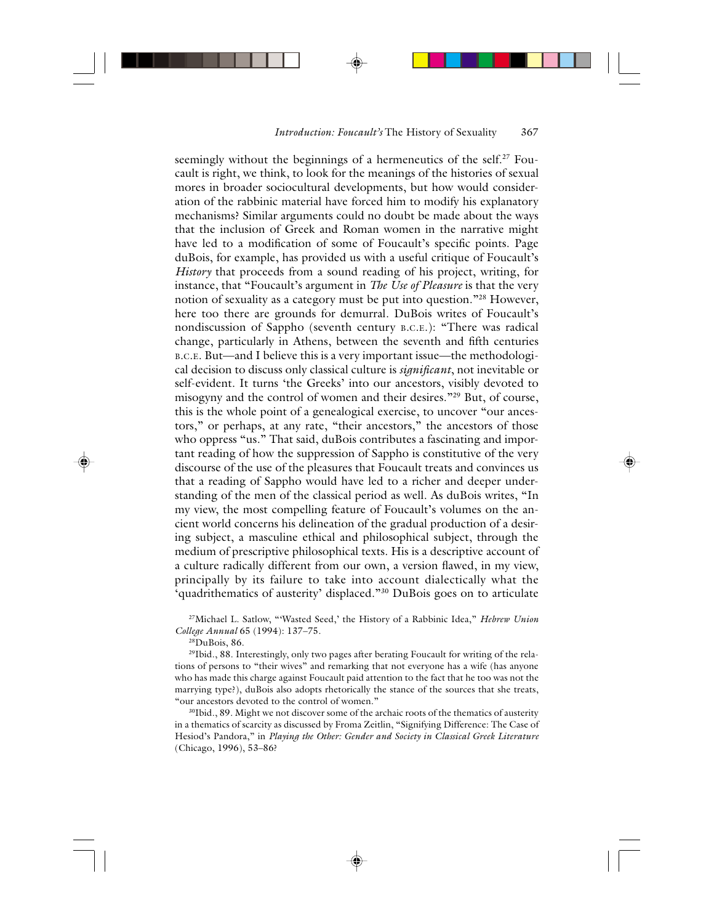seemingly without the beginnings of a hermeneutics of the self.<sup>27</sup> Foucault is right, we think, to look for the meanings of the histories of sexual mores in broader sociocultural developments, but how would consideration of the rabbinic material have forced him to modify his explanatory mechanisms? Similar arguments could no doubt be made about the ways that the inclusion of Greek and Roman women in the narrative might have led to a modification of some of Foucault's specific points. Page duBois, for example, has provided us with a useful critique of Foucault's *History* that proceeds from a sound reading of his project, writing, for instance, that "Foucault's argument in *The Use of Pleasure* is that the very notion of sexuality as a category must be put into question."28 However, here too there are grounds for demurral. DuBois writes of Foucault's nondiscussion of Sappho (seventh century B.C.E.): "There was radical change, particularly in Athens, between the seventh and fifth centuries B.C.E. But—and I believe this is a very important issue—the methodological decision to discuss only classical culture is *significant*, not inevitable or self-evident. It turns 'the Greeks' into our ancestors, visibly devoted to misogyny and the control of women and their desires."29 But, of course, this is the whole point of a genealogical exercise, to uncover "our ancestors," or perhaps, at any rate, "their ancestors," the ancestors of those who oppress "us." That said, duBois contributes a fascinating and important reading of how the suppression of Sappho is constitutive of the very discourse of the use of the pleasures that Foucault treats and convinces us that a reading of Sappho would have led to a richer and deeper understanding of the men of the classical period as well. As duBois writes, "In my view, the most compelling feature of Foucault's volumes on the ancient world concerns his delineation of the gradual production of a desiring subject, a masculine ethical and philosophical subject, through the medium of prescriptive philosophical texts. His is a descriptive account of a culture radically different from our own, a version flawed, in my view, principally by its failure to take into account dialectically what the 'quadrithematics of austerity' displaced."30 DuBois goes on to articulate

27Michael L. Satlow, "'Wasted Seed,' the History of a Rabbinic Idea," *Hebrew Union College Annual* 65 (1994): 137–75.

28DuBois, 86.

29Ibid., 88. Interestingly, only two pages after berating Foucault for writing of the relations of persons to "their wives" and remarking that not everyone has a wife (has anyone who has made this charge against Foucault paid attention to the fact that he too was not the marrying type?), duBois also adopts rhetorically the stance of the sources that she treats, "our ancestors devoted to the control of women."

<sup>30</sup>Ibid., 89. Might we not discover some of the archaic roots of the thematics of austerity in a thematics of scarcity as discussed by Froma Zeitlin, "Signifying Difference: The Case of Hesiod's Pandora," in *Playing the Other: Gender and Society in Classical Greek Literature* (Chicago, 1996), 53–86?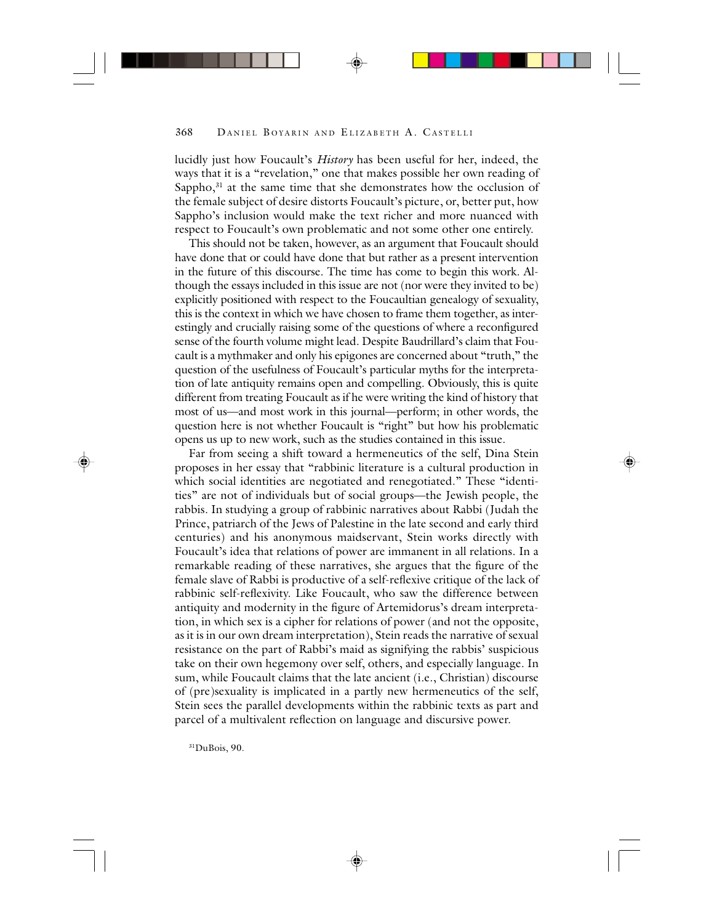lucidly just how Foucault's *History* has been useful for her, indeed, the ways that it is a "revelation," one that makes possible her own reading of Sappho,<sup>31</sup> at the same time that she demonstrates how the occlusion of the female subject of desire distorts Foucault's picture, or, better put, how Sappho's inclusion would make the text richer and more nuanced with respect to Foucault's own problematic and not some other one entirely.

This should not be taken, however, as an argument that Foucault should have done that or could have done that but rather as a present intervention in the future of this discourse. The time has come to begin this work. Although the essays included in this issue are not (nor were they invited to be) explicitly positioned with respect to the Foucaultian genealogy of sexuality, this is the context in which we have chosen to frame them together, as interestingly and crucially raising some of the questions of where a reconfigured sense of the fourth volume might lead. Despite Baudrillard's claim that Foucault is a mythmaker and only his epigones are concerned about "truth," the question of the usefulness of Foucault's particular myths for the interpretation of late antiquity remains open and compelling. Obviously, this is quite different from treating Foucault as if he were writing the kind of history that most of us—and most work in this journal—perform; in other words, the question here is not whether Foucault is "right" but how his problematic opens us up to new work, such as the studies contained in this issue.

Far from seeing a shift toward a hermeneutics of the self, Dina Stein proposes in her essay that "rabbinic literature is a cultural production in which social identities are negotiated and renegotiated." These "identities" are not of individuals but of social groups—the Jewish people, the rabbis. In studying a group of rabbinic narratives about Rabbi (Judah the Prince, patriarch of the Jews of Palestine in the late second and early third centuries) and his anonymous maidservant, Stein works directly with Foucault's idea that relations of power are immanent in all relations. In a remarkable reading of these narratives, she argues that the figure of the female slave of Rabbi is productive of a self-reflexive critique of the lack of rabbinic self-reflexivity. Like Foucault, who saw the difference between antiquity and modernity in the figure of Artemidorus's dream interpretation, in which sex is a cipher for relations of power (and not the opposite, as it is in our own dream interpretation), Stein reads the narrative of sexual resistance on the part of Rabbi's maid as signifying the rabbis' suspicious take on their own hegemony over self, others, and especially language. In sum, while Foucault claims that the late ancient (i.e., Christian) discourse of (pre)sexuality is implicated in a partly new hermeneutics of the self, Stein sees the parallel developments within the rabbinic texts as part and parcel of a multivalent reflection on language and discursive power.

31DuBois, 90.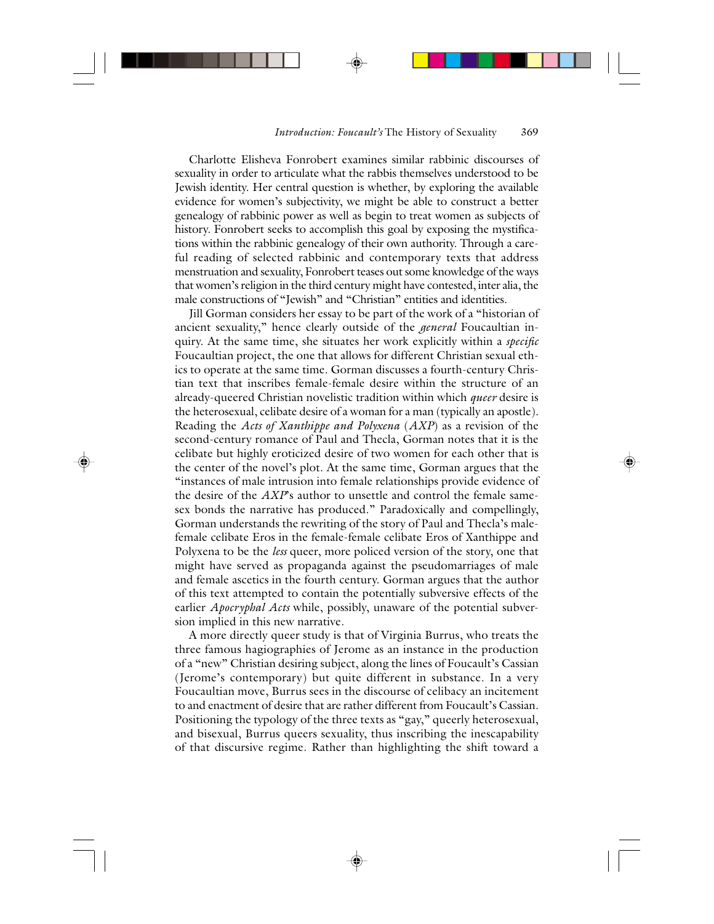Charlotte Elisheva Fonrobert examines similar rabbinic discourses of sexuality in order to articulate what the rabbis themselves understood to be Jewish identity. Her central question is whether, by exploring the available evidence for women's subjectivity, we might be able to construct a better genealogy of rabbinic power as well as begin to treat women as subjects of history. Fonrobert seeks to accomplish this goal by exposing the mystifications within the rabbinic genealogy of their own authority. Through a careful reading of selected rabbinic and contemporary texts that address menstruation and sexuality, Fonrobert teases out some knowledge of the ways that women's religion in the third century might have contested, inter alia, the male constructions of "Jewish" and "Christian" entities and identities.

Jill Gorman considers her essay to be part of the work of a "historian of ancient sexuality," hence clearly outside of the *general* Foucaultian inquiry. At the same time, she situates her work explicitly within a *specific* Foucaultian project, the one that allows for different Christian sexual ethics to operate at the same time. Gorman discusses a fourth-century Christian text that inscribes female-female desire within the structure of an already-queered Christian novelistic tradition within which *queer* desire is the heterosexual, celibate desire of a woman for a man (typically an apostle). Reading the *Acts of Xanthippe and Polyxena* (*AXP*) as a revision of the second-century romance of Paul and Thecla, Gorman notes that it is the celibate but highly eroticized desire of two women for each other that is the center of the novel's plot. At the same time, Gorman argues that the "instances of male intrusion into female relationships provide evidence of the desire of the *AXP*'s author to unsettle and control the female samesex bonds the narrative has produced." Paradoxically and compellingly, Gorman understands the rewriting of the story of Paul and Thecla's malefemale celibate Eros in the female-female celibate Eros of Xanthippe and Polyxena to be the *less* queer, more policed version of the story, one that might have served as propaganda against the pseudomarriages of male and female ascetics in the fourth century. Gorman argues that the author of this text attempted to contain the potentially subversive effects of the earlier *Apocryphal Acts* while, possibly, unaware of the potential subversion implied in this new narrative.

A more directly queer study is that of Virginia Burrus, who treats the three famous hagiographies of Jerome as an instance in the production of a "new" Christian desiring subject, along the lines of Foucault's Cassian (Jerome's contemporary) but quite different in substance. In a very Foucaultian move, Burrus sees in the discourse of celibacy an incitement to and enactment of desire that are rather different from Foucault's Cassian. Positioning the typology of the three texts as "gay," queerly heterosexual, and bisexual, Burrus queers sexuality, thus inscribing the inescapability of that discursive regime. Rather than highlighting the shift toward a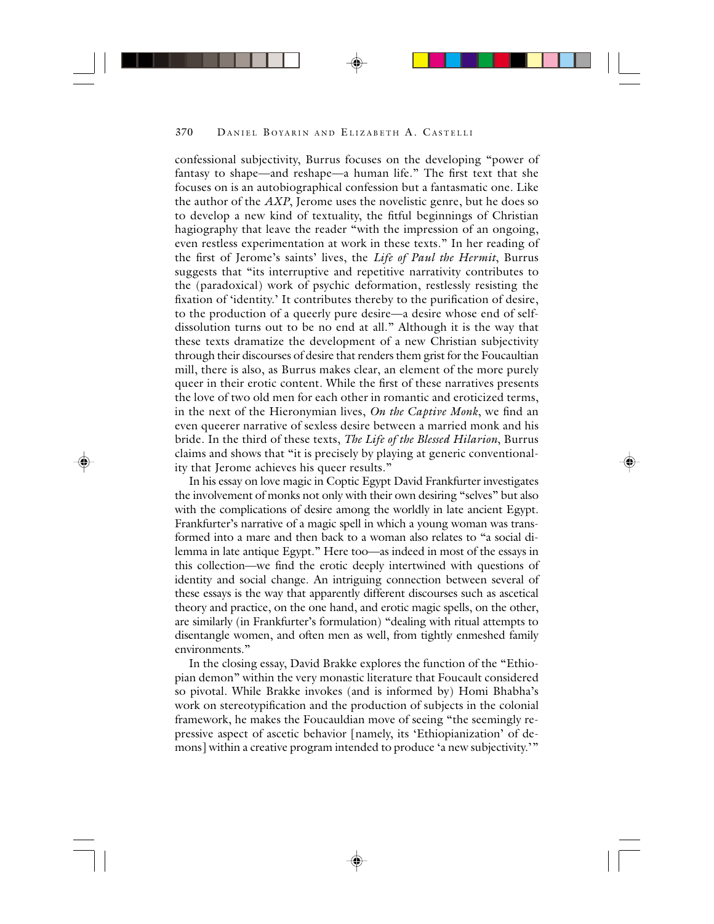confessional subjectivity, Burrus focuses on the developing "power of fantasy to shape—and reshape—a human life." The first text that she focuses on is an autobiographical confession but a fantasmatic one. Like the author of the *AXP*, Jerome uses the novelistic genre, but he does so to develop a new kind of textuality, the fitful beginnings of Christian hagiography that leave the reader "with the impression of an ongoing, even restless experimentation at work in these texts." In her reading of the first of Jerome's saints' lives, the *Life of Paul the Hermit*, Burrus suggests that "its interruptive and repetitive narrativity contributes to the (paradoxical) work of psychic deformation, restlessly resisting the fixation of 'identity.' It contributes thereby to the purification of desire, to the production of a queerly pure desire—a desire whose end of selfdissolution turns out to be no end at all." Although it is the way that these texts dramatize the development of a new Christian subjectivity through their discourses of desire that renders them grist for the Foucaultian mill, there is also, as Burrus makes clear, an element of the more purely queer in their erotic content. While the first of these narratives presents the love of two old men for each other in romantic and eroticized terms, in the next of the Hieronymian lives, *On the Captive Monk*, we find an even queerer narrative of sexless desire between a married monk and his bride. In the third of these texts, *The Life of the Blessed Hilarion*, Burrus claims and shows that "it is precisely by playing at generic conventionality that Jerome achieves his queer results."

In his essay on love magic in Coptic Egypt David Frankfurter investigates the involvement of monks not only with their own desiring "selves" but also with the complications of desire among the worldly in late ancient Egypt. Frankfurter's narrative of a magic spell in which a young woman was transformed into a mare and then back to a woman also relates to "a social dilemma in late antique Egypt." Here too—as indeed in most of the essays in this collection—we find the erotic deeply intertwined with questions of identity and social change. An intriguing connection between several of these essays is the way that apparently different discourses such as ascetical theory and practice, on the one hand, and erotic magic spells, on the other, are similarly (in Frankfurter's formulation) "dealing with ritual attempts to disentangle women, and often men as well, from tightly enmeshed family environments."

In the closing essay, David Brakke explores the function of the "Ethiopian demon" within the very monastic literature that Foucault considered so pivotal. While Brakke invokes (and is informed by) Homi Bhabha's work on stereotypification and the production of subjects in the colonial framework, he makes the Foucauldian move of seeing "the seemingly repressive aspect of ascetic behavior [namely, its 'Ethiopianization' of demons] within a creative program intended to produce 'a new subjectivity.'"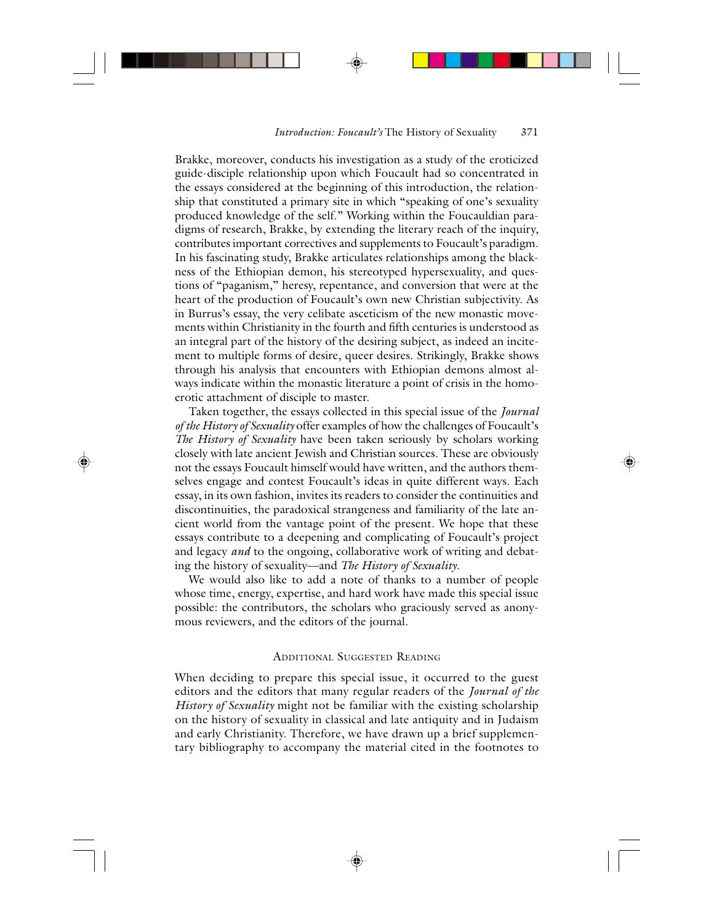Brakke, moreover, conducts his investigation as a study of the eroticized guide-disciple relationship upon which Foucault had so concentrated in the essays considered at the beginning of this introduction, the relationship that constituted a primary site in which "speaking of one's sexuality produced knowledge of the self." Working within the Foucauldian paradigms of research, Brakke, by extending the literary reach of the inquiry, contributes important correctives and supplements to Foucault's paradigm. In his fascinating study, Brakke articulates relationships among the blackness of the Ethiopian demon, his stereotyped hypersexuality, and questions of "paganism," heresy, repentance, and conversion that were at the heart of the production of Foucault's own new Christian subjectivity. As in Burrus's essay, the very celibate asceticism of the new monastic movements within Christianity in the fourth and fifth centuries is understood as an integral part of the history of the desiring subject, as indeed an incitement to multiple forms of desire, queer desires. Strikingly, Brakke shows through his analysis that encounters with Ethiopian demons almost always indicate within the monastic literature a point of crisis in the homoerotic attachment of disciple to master.

Taken together, the essays collected in this special issue of the *Journal of the History of Sexuality* offer examples of how the challenges of Foucault's *The History of Sexuality* have been taken seriously by scholars working closely with late ancient Jewish and Christian sources. These are obviously not the essays Foucault himself would have written, and the authors themselves engage and contest Foucault's ideas in quite different ways. Each essay, in its own fashion, invites its readers to consider the continuities and discontinuities, the paradoxical strangeness and familiarity of the late ancient world from the vantage point of the present. We hope that these essays contribute to a deepening and complicating of Foucault's project and legacy *and* to the ongoing, collaborative work of writing and debating the history of sexuality—and *The History of Sexuality*.

We would also like to add a note of thanks to a number of people whose time, energy, expertise, and hard work have made this special issue possible: the contributors, the scholars who graciously served as anonymous reviewers, and the editors of the journal.

## ADDITIONAL SUGGESTED READING

When deciding to prepare this special issue, it occurred to the guest editors and the editors that many regular readers of the *Journal of the History of Sexuality* might not be familiar with the existing scholarship on the history of sexuality in classical and late antiquity and in Judaism and early Christianity. Therefore, we have drawn up a brief supplementary bibliography to accompany the material cited in the footnotes to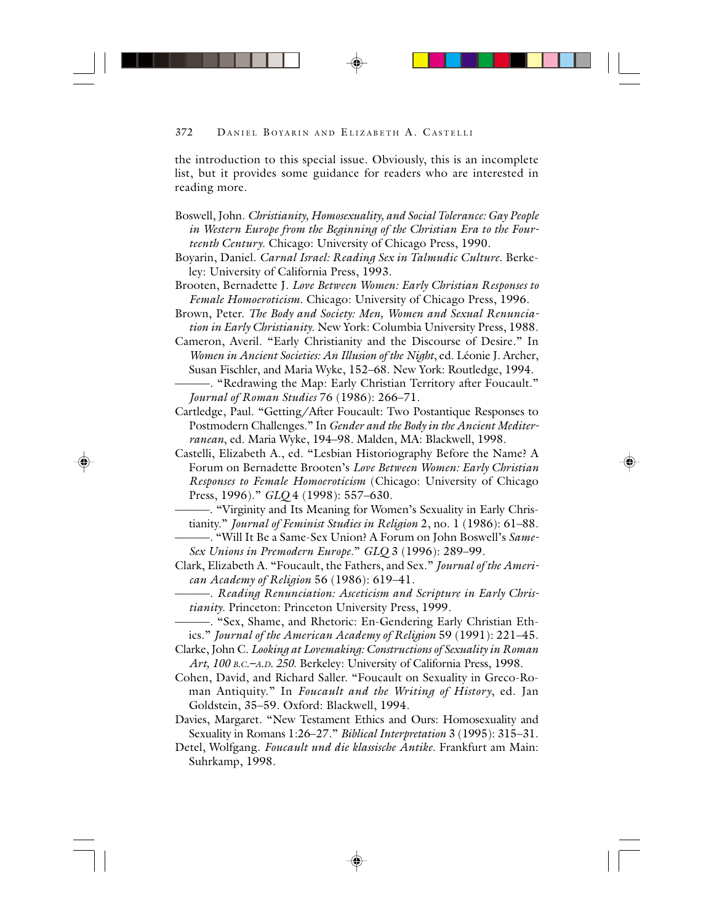the introduction to this special issue. Obviously, this is an incomplete list, but it provides some guidance for readers who are interested in reading more.

- Boswell, John. *Christianity, Homosexuality, and Social Tolerance: Gay People in Western Europe from the Beginning of the Christian Era to the Fourteenth Century*. Chicago: University of Chicago Press, 1990.
- Boyarin, Daniel. *Carnal Israel: Reading Sex in Talmudic Culture*. Berkeley: University of California Press, 1993.
- Brooten, Bernadette J. *Love Between Women: Early Christian Responses to Female Homoeroticism*. Chicago: University of Chicago Press, 1996.
- Brown, Peter. *The Body and Society: Men, Women and Sexual Renunciation in Early Christianity*. New York: Columbia University Press, 1988.
- Cameron, Averil. "Early Christianity and the Discourse of Desire." In *Women in Ancient Societies: An Illusion of the Night*, ed. Léonie J. Archer, Susan Fischler, and Maria Wyke, 152–68. New York: Routledge, 1994.
- ———. "Redrawing the Map: Early Christian Territory after Foucault." *Journal of Roman Studies* 76 (1986): 266–71.
- Cartledge, Paul. "Getting/After Foucault: Two Postantique Responses to Postmodern Challenges." In *Gender and the Body in the Ancient Mediterranean*, ed. Maria Wyke, 194–98. Malden, MA: Blackwell, 1998.
- Castelli, Elizabeth A., ed. "Lesbian Historiography Before the Name? A Forum on Bernadette Brooten's *Love Between Women: Early Christian Responses to Female Homoeroticism* (Chicago: University of Chicago Press, 1996)." *GLQ* 4 (1998): 557–630.
- ———. "Virginity and Its Meaning for Women's Sexuality in Early Christianity." *Journal of Feminist Studies in Religion* 2, no. 1 (1986): 61–88.
- ———. "Will It Be a Same-Sex Union? A Forum on John Boswell's *Same-Sex Unions in Premodern Europe*." *GLQ* 3 (1996): 289–99.
- Clark, Elizabeth A. "Foucault, the Fathers, and Sex." *Journal of the American Academy of Religion* 56 (1986): 619–41.
	- ———. *Reading Renunciation: Asceticism and Scripture in Early Christianity*. Princeton: Princeton University Press, 1999.
- ———. "Sex, Shame, and Rhetoric: En-Gendering Early Christian Ethics." *Journal of the American Academy of Religion* 59 (1991): 221–45.
- Clarke, John C. *Looking at Lovemaking: Constructions of Sexuality in Roman Art, 100 B.C.–A.D. 250*. Berkeley: University of California Press, 1998.
- Cohen, David, and Richard Saller. "Foucault on Sexuality in Greco-Roman Antiquity." In *Foucault and the Writing of History*, ed. Jan Goldstein, 35–59. Oxford: Blackwell, 1994.
- Davies, Margaret. "New Testament Ethics and Ours: Homosexuality and Sexuality in Romans 1:26–27." *Biblical Interpretation* 3 (1995): 315–31.
- Detel, Wolfgang. *Foucault und die klassische Antike*. Frankfurt am Main: Suhrkamp, 1998.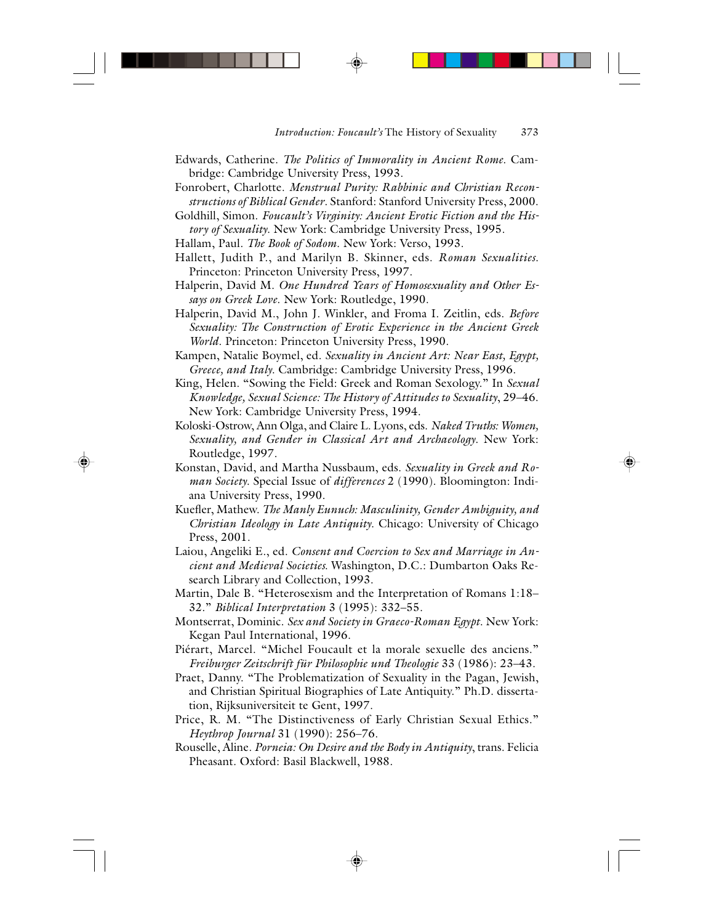- Edwards, Catherine. *The Politics of Immorality in Ancient Rome*. Cambridge: Cambridge University Press, 1993.
- Fonrobert, Charlotte. *Menstrual Purity: Rabbinic and Christian Reconstructions of Biblical Gender*. Stanford: Stanford University Press, 2000.
- Goldhill, Simon. *Foucault's Virginity: Ancient Erotic Fiction and the History of Sexuality*. New York: Cambridge University Press, 1995.
- Hallam, Paul. *The Book of Sodom*. New York: Verso, 1993.
- Hallett, Judith P., and Marilyn B. Skinner, eds. *Roman Sexualities*. Princeton: Princeton University Press, 1997.
- Halperin, David M. *One Hundred Years of Homosexuality and Other Essays on Greek Love*. New York: Routledge, 1990.
- Halperin, David M., John J. Winkler, and Froma I. Zeitlin, eds. *Before Sexuality: The Construction of Erotic Experience in the Ancient Greek World*. Princeton: Princeton University Press, 1990.
- Kampen, Natalie Boymel, ed. *Sexuality in Ancient Art: Near East, Egypt, Greece, and Italy*. Cambridge: Cambridge University Press, 1996.
- King, Helen. "Sowing the Field: Greek and Roman Sexology." In *Sexual Knowledge, Sexual Science: The History of Attitudes to Sexuality*, 29–46. New York: Cambridge University Press, 1994.
- Koloski-Ostrow, Ann Olga, and Claire L. Lyons, eds. *Naked Truths: Women, Sexuality, and Gender in Classical Art and Archaeology*. New York: Routledge, 1997.
- Konstan, David, and Martha Nussbaum, eds. *Sexuality in Greek and Roman Society*. Special Issue of *differences* 2 (1990). Bloomington: Indiana University Press, 1990.
- Kuefler, Mathew. *The Manly Eunuch: Masculinity, Gender Ambiguity, and Christian Ideology in Late Antiquity*. Chicago: University of Chicago Press, 2001.
- Laiou, Angeliki E., ed. *Consent and Coercion to Sex and Marriage in Ancient and Medieval Societies*. Washington, D.C.: Dumbarton Oaks Research Library and Collection, 1993.
- Martin, Dale B. "Heterosexism and the Interpretation of Romans 1:18– 32." *Biblical Interpretation* 3 (1995): 332–55.
- Montserrat, Dominic. *Sex and Society in Graeco-Roman Egypt*. New York: Kegan Paul International, 1996.
- Piérart, Marcel. "Michel Foucault et la morale sexuelle des anciens." *Freiburger Zeitschrift für Philosophie und Theologie* 33 (1986): 23–43.
- Praet, Danny. "The Problematization of Sexuality in the Pagan, Jewish, and Christian Spiritual Biographies of Late Antiquity." Ph.D. dissertation, Rijksuniversiteit te Gent, 1997.
- Price, R. M. "The Distinctiveness of Early Christian Sexual Ethics." *Heythrop Journal* 31 (1990): 256–76.
- Rouselle, Aline. *Porneia: On Desire and the Body in Antiquity*, trans. Felicia Pheasant. Oxford: Basil Blackwell, 1988.